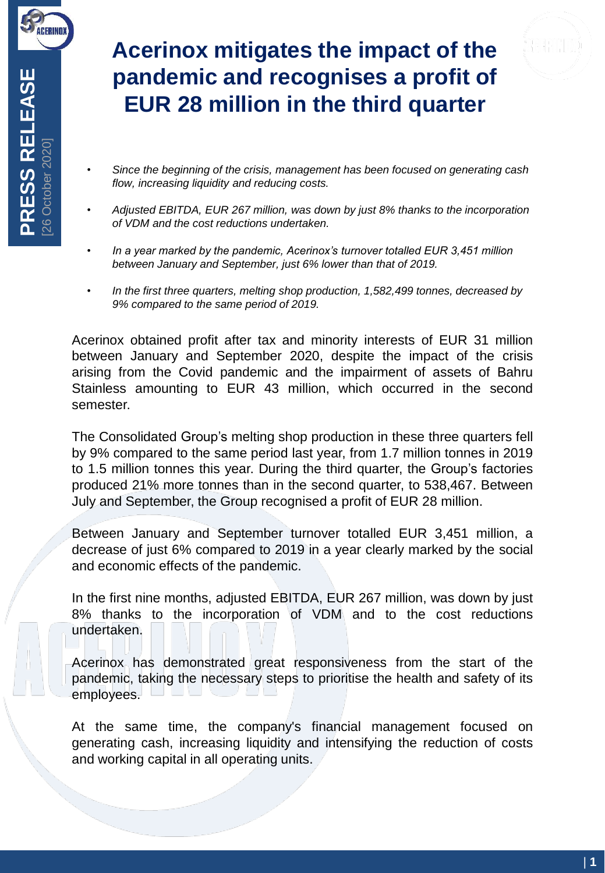

## **Acerinox mitigates the impact of the pandemic and recognises a profit of EUR 28 million in the third quarter**

- *Since the beginning of the crisis, management has been focused on generating cash flow, increasing liquidity and reducing costs.*
- *Adjusted EBITDA, EUR 267 million, was down by just 8% thanks to the incorporation of VDM and the cost reductions undertaken.*
- *In a year marked by the pandemic, Acerinox's turnover totalled EUR 3,451 million between January and September, just 6% lower than that of 2019.*
- *In the first three quarters, melting shop production, 1,582,499 tonnes, decreased by 9% compared to the same period of 2019.*

Acerinox obtained profit after tax and minority interests of EUR 31 million between January and September 2020, despite the impact of the crisis arising from the Covid pandemic and the impairment of assets of Bahru Stainless amounting to EUR 43 million, which occurred in the second semester.

The Consolidated Group's melting shop production in these three quarters fell by 9% compared to the same period last year, from 1.7 million tonnes in 2019 to 1.5 million tonnes this year. During the third quarter, the Group's factories produced 21% more tonnes than in the second quarter, to 538,467. Between July and September, the Group recognised a profit of EUR 28 million.

Between January and September turnover totalled EUR 3,451 million, a decrease of just 6% compared to 2019 in a year clearly marked by the social and economic effects of the pandemic.

In the first nine months, adjusted EBITDA, EUR 267 million, was down by just 8% thanks to the incorporation of VDM and to the cost reductions undertaken.

Acerinox has demonstrated great responsiveness from the start of the pandemic, taking the necessary steps to prioritise the health and safety of its employees.

At the same time, the company's financial management focused on generating cash, increasing liquidity and intensifying the reduction of costs and working capital in all operating units.